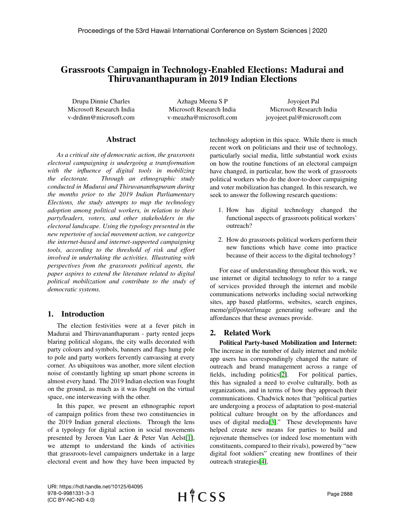# Grassroots Campaign in Technology-Enabled Elections: Madurai and Thiruvananthapuram in 2019 Indian Elections

Drupa Dinnie Charles Microsoft Research India v-drdinn@microsoft.com

Azhagu Meena S P Microsoft Research India v-meazha@microsoft.com

Joyojeet Pal Microsoft Research India joyojeet.pal@microsoft.com

#### Abstract

*As a critical site of democratic action, the grassroots electoral campaigning is undergoing a transformation with the influence of digital tools in mobilizing the electorate. Through an ethnographic study conducted in Madurai and Thiruvananthapuram during the months prior to the 2019 Indian Parliamentary Elections, the study attempts to map the technology adoption among political workers, in relation to their party/leaders, voters, and other stakeholders in the electoral landscape. Using the typology presented in the new repertoire of social movement action, we categorize the internet-based and internet-supported campaigning tools, according to the threshold of risk and effort involved in undertaking the activities. Illustrating with perspectives from the grassroots political agents, the paper aspires to extend the literature related to digital political mobilization and contribute to the study of democratic systems.*

#### 1. Introduction

The election festivities were at a fever pitch in Madurai and Thiruvananthapuram - party rented jeeps blaring political slogans, the city walls decorated with party colours and symbols, banners and flags hung pole to pole and party workers fervently canvassing at every corner. As ubiquitous was another, more silent election noise of constantly lighting up smart phone screens in almost every hand. The 2019 Indian election was fought on the ground, as much as it was fought on the virtual space, one interweaving with the other.

In this paper, we present an ethnographic report of campaign politics from these two constituencies in the 2019 Indian general elections. Through the lens of a typology for digital action in social movements presented by Jeroen Van Laer & Peter Van Aelst[\[1\]](#page-9-0), we attempt to understand the kinds of activities that grassroots-level campaigners undertake in a large electoral event and how they have been impacted by technology adoption in this space. While there is much recent work on politicians and their use of technology, particularly social media, little substantial work exists on how the routine functions of an electoral campaign have changed, in particular, how the work of grassroots political workers who do the door-to-door campaigning and voter mobilization has changed. In this research, we seek to answer the following research questions:

- 1. How has digital technology changed the functional aspects of grassroots political workers' outreach?
- 2. How do grassroots political workers perform their new functions which have come into practice because of their access to the digital technology?

For ease of understanding throughout this work, we use internet or digital technology to refer to a range of services provided through the internet and mobile communications networks including social networking sites, app based platforms, websites, search engines, meme/gif/poster/image generating software and the affordances that these avenues provide.

#### 2. Related Work

Political Party-based Mobilization and Internet: The increase in the number of daily internet and mobile app users has correspondingly changed the nature of outreach and brand management across a range of fields, including politics[\[2\]](#page-9-1). For political parties, this has signaled a need to evolve culturally, both as organizations, and in terms of how they approach their communications. Chadwick notes that "political parties are undergoing a process of adaptation to post-material political culture brought on by the affordances and uses of digital media[\[3\]](#page-9-2)." These developments have helped create new means for parties to build and rejuvenate themselves (or indeed lose momentum with constituents, compared to their rivals), powered by "new digital foot soldiers" creating new frontlines of their outreach strategies[\[4\]](#page-9-3).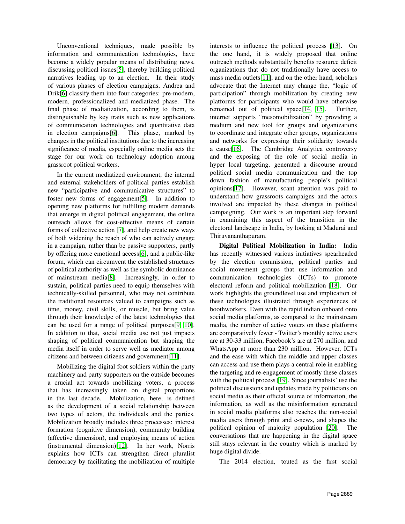Unconventional techniques, made possible by information and communication technologies, have become a widely popular means of distributing news, discussing political issues[\[5\]](#page-9-4), thereby building political narratives leading up to an election. In their study of various phases of election campaigns, Andrea and Drik[\[6\]](#page-9-5) classify them into four categories: pre-modern, modern, professionalized and mediatized phase. The final phase of mediatization, according to them, is distinguishable by key traits such as new applications of communication technologies and quantitative data in election campaigns[\[6\]](#page-9-5). This phase, marked by changes in the political institutions due to the increasing significance of media, especially online media sets the stage for our work on technology adoption among grassroot political workers.

In the current mediatized environment, the internal and external stakeholders of political parties establish new "participative and communicative structures" to foster new forms of engagement[\[5\]](#page-9-4). In addition to opening new platforms for fulfilling modern demands that emerge in digital political engagement, the online outreach allows for cost-effective means of certain forms of collective action [\[7\]](#page-9-6), and help create new ways of both widening the reach of who can actively engage in a campaign, rather than be passive supporters, partly by offering more emotional access[\[6\]](#page-9-5), and a public-like forum, which can circumvent the established structures of political authority as well as the symbolic dominance of mainstream media[\[8\]](#page-9-7). Increasingly, in order to sustain, political parties need to equip themselves with technically-skilled personnel, who may not contribute the traditional resources valued to campaigns such as time, money, civil skills, or muscle, but bring value through their knowledge of the latest technologies that can be used for a range of political purposes[\[9,](#page-9-8) [10\]](#page-9-9). In addition to that, social media use not just impacts shaping of political communication but shaping the media itself in order to serve well as mediator among citizens and between citizens and government[\[11\]](#page-9-10).

Mobilizing the digital foot soldiers within the party machinery and party supporters on the outside becomes a crucial act towards mobilizing voters, a process that has increasingly taken on digital proportions in the last decade. Mobilization, here, is defined as the development of a social relationship between two types of actors, the individuals and the parties. Mobilization broadly includes three processes: interest formation (cognitive dimension), community building (affective dimension), and employing means of action (instrumental dimension)[\[12\]](#page-9-11). In her work, Norris explains how ICTs can strengthen direct pluralist democracy by facilitating the mobilization of multiple

interests to influence the political process [\[13\]](#page-9-12). On the one hand, it is widely proposed that online outreach methods substantially benefits resource deficit organizations that do not traditionally have access to mass media outlets[\[11\]](#page-9-10), and on the other hand, scholars advocate that the Internet may change the, "logic of participation" through mobilization by creating new platforms for participants who would have otherwise remained out of political space[\[14,](#page-9-13) [15\]](#page-9-14). Further, internet supports "mesomobilization" by providing a medium and new tool for groups and organizations to coordinate and integrate other groups, organizations and networks for expressing their solidarity towards a cause[\[16\]](#page-9-15). The Cambridge Analytica controversy and the exposing of the role of social media in hyper local targeting, generated a discourse around political social media communication and the top down fashion of manufacturing people's political opinions[\[17\]](#page-9-16). However, scant attention was paid to understand how grassroots campaigns and the actors involved are impacted by these changes in political campaigning. Our work is an important step forward in examining this aspect of the transition in the electoral landscape in India, by looking at Madurai and Thiruvananthapuram.

Digital Political Mobilization in India: India has recently witnessed various initiatives spearheaded by the election commission, political parties and social movement groups that use information and communication technologies (ICTs) to promote electoral reform and political mobilization [\[18\]](#page-9-17). Our work highlights the groundlevel use and implication of these technologies illustrated through experiences of boothworkers. Even with the rapid indian onboard onto social media platforms, as compared to the mainstream media, the number of active voters on these platforms are comparatively fewer - Twitter's monthly active users are at 30-33 million, Facebook's are at 270 million, and WhatsApp at more than 230 million. However, ICTs and the ease with which the middle and upper classes can access and use them plays a central role in enabling the targeting and re-engagement of mostly these classes with the political process [\[19\]](#page-9-18). Since journalists' use the political discussions and updates made by politicians on social media as their official source of information, the information, as well as the misinformation generated in social media platforms also reaches the non-social media users through print and e-news, and shapes the political opinion of majority population [\[20\]](#page-9-19). The conversations that are happening in the digital space still stays relevant in the country which is marked by huge digital divide.

The 2014 election, touted as the first social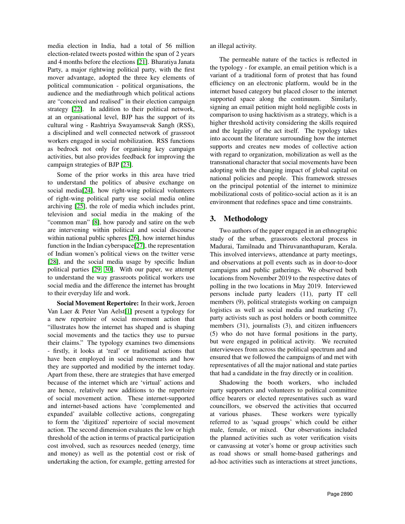media election in India, had a total of 56 million election-related tweets posted within the span of 2 years and 4 months before the elections [\[21\]](#page-9-20). Bharatiya Janata Party, a major rightwing political party, with the first mover advantage, adopted the three key elements of political communication - political organisations, the audience and the mediathrough which political actions are "conceived and realised" in their election campaign strategy [\[22\]](#page-9-21). In addition to their political network, at an organisational level, BJP has the support of its cultural wing - Rashtriya Swayamsevak Sangh (RSS), a disciplined and well connected network of grassroot workers engaged in social mobilization. RSS functions as bedrock not only for organising key campaign activities, but also provides feedback for improving the campaign strategies of BJP [\[23\]](#page-9-22).

Some of the prior works in this area have tried to understand the politics of abusive exchange on social media[\[24\]](#page-9-23), how right-wing political volunteers of right-wing political party use social media online archiving [\[25\]](#page-9-24), the role of media which includes print, television and social media in the making of the "common man" [\[8\]](#page-9-7), how parody and satire on the web are intervening within political and social discourse within national public spheres [\[26\]](#page-9-25), how internet hindus function in the Indian cyberspace[\[27\]](#page-9-26), the representation of Indian women's political views on the twitter verse [\[28\]](#page-9-27), and the social media usage by specific Indian political parties [\[29,](#page-9-28) [30\]](#page-9-29). With our paper, we attempt to understand the way grassroots political workers use social media and the difference the internet has brought to their everyday life and work.

Social Movement Repertoire: In their work, Jeroen Van Laer & Peter Van Aelst[\[1\]](#page-9-0) present a typology for a new repertoire of social movement action that "illustrates how the internet has shaped and is shaping social movements and the tactics they use to pursue their claims." The typology examines two dimensions - firstly, it looks at 'real' or traditional actions that have been employed in social movements and how they are supported and modified by the internet today. Apart from these, there are strategies that have emerged because of the internet which are 'virtual' actions and are hence, relatively new additions to the repertoire of social movement action. These internet-supported and internet-based actions have 'complemented and expanded' available collective actions, congregating to form the 'digitized' repertoire of social movement action. The second dimension evaluates the low or high threshold of the action in terms of practical participation cost involved, such as resources needed (energy, time and money) as well as the potential cost or risk of undertaking the action, for example, getting arrested for

an illegal activity.

The permeable nature of the tactics is reflected in the typology - for example, an email petition which is a variant of a traditional form of protest that has found efficiency on an electronic platform, would be in the internet based category but placed closer to the internet supported space along the continuum. Similarly, signing an email petition might hold negligible costs in comparison to using hacktivism as a strategy, which is a higher threshold activity considering the skills required and the legality of the act itself. The typology takes into account the literature surrounding how the internet supports and creates new modes of collective action with regard to organization, mobilization as well as the transnational character that social movements have been adopting with the changing impact of global capital on national policies and people. This framework stresses on the principal potential of the internet to minimize mobilizational costs of politico-social action as it is an environment that redefines space and time constraints.

# 3. Methodology

Two authors of the paper engaged in an ethnographic study of the urban, grassroots electoral process in Madurai, Tamilnadu and Thiruvananthapuram, Kerala. This involved interviews, attendance at party meetings, and observations at poll events such as in door-to-door campaigns and public gatherings. We observed both locations from November 2019 to the respective dates of polling in the two locations in May 2019. Interviewed persons include party leaders (11), party IT cell members (9), political strategists working on campaign logistics as well as social media and marketing (7), party activists such as post holders or booth committee members (31), journalists (3), and citizen influencers (5) who do not have formal positions in the party, but were engaged in political activity. We recruited interviewees from across the political spectrum and and ensured that we followed the campaigns of and met with representatives of all the major national and state parties that had a candidate in the fray directly or in coalition.

Shadowing the booth workers, who included party supporters and volunteers to political committee office bearers or elected representatives such as ward councillors, we observed the activities that occurred at various phases. These workers were typically referred to as 'squad groups' which could be either male, female, or mixed. Our observations included the planned activities such as voter verification visits or canvassing at voter's home or group activities such as road shows or small home-based gatherings and ad-hoc activities such as interactions at street junctions,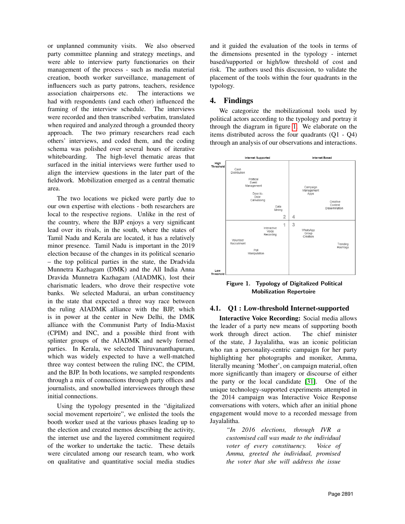or unplanned community visits. We also observed party committee planning and strategy meetings, and were able to interview party functionaries on their management of the process - such as media material creation, booth worker surveillance, management of influencers such as party patrons, teachers, residence association chairpersons etc. The interactions we had with respondents (and each other) influenced the framing of the interview schedule. The interviews were recorded and then transcribed verbatim, translated when required and analyzed through a grounded theory approach. The two primary researchers read each others' interviews, and coded them, and the coding schema was polished over several hours of iterative whiteboarding. The high-level thematic areas that surfaced in the initial interviews were further used to align the interview questions in the later part of the fieldwork. Mobilization emerged as a central thematic area.

The two locations we picked were partly due to our own expertise with elections - both researchers are local to the respective regions. Unlike in the rest of the country, where the BJP enjoys a very significant lead over its rivals, in the south, where the states of Tamil Nadu and Kerala are located, it has a relatively minor presence. Tamil Nadu is important in the 2019 election because of the changes in its political scenario – the top political parties in the state, the Dradvida Munnetra Kazhagam (DMK) and the All India Anna Dravida Munnetra Kazhagam (AIADMK), lost their charismatic leaders, who drove their respective vote banks. We selected Madurai, an urban constituency in the state that expected a three way race between the ruling AIADMK alliance with the BJP, which is in power at the center in New Delhi, the DMK alliance with the Communist Party of India-Maxist (CPIM) and INC, and a possible third front with splinter groups of the AIADMK and newly formed parties. In Kerala, we selected Thiruvananthapuram, which was widely expected to have a well-matched three way contest between the ruling INC, the CPIM, and the BJP. In both locations, we sampled respondents through a mix of connections through party offices and journalists, and snowballed interviewees through these initial connections.

Using the typology presented in the "digitalized social movement repertoire", we enlisted the tools the booth worker used at the various phases leading up to the election and created memos describing the activity, the internet use and the layered commitment required of the worker to undertake the tactic. These details were circulated among our research team, who work on qualitative and quantitative social media studies

and it guided the evaluation of the tools in terms of the dimensions presented in the typology - internet based/supported or high/low threshold of cost and risk. The authors used this discussion, to validate the placement of the tools within the four quadrants in the typology.

### 4. Findings

We categorize the mobilizational tools used by political actors according to the typology and portray it through the diagram in figure [1.](#page-3-0) We elaborate on the items distributed across the four quadrants (Q1 - Q4) through an analysis of our observations and interactions.



<span id="page-3-0"></span>Figure 1. Typology of Digitalized Political Mobilization Repertoire

#### 4.1. Q1 : Low-threshold Internet-supported

Interactive Voice Recording: Social media allows the leader of a party new means of supporting booth work through direct action. The chief minister of the state, J Jayalalitha, was an iconic politician who ran a personality-centric campaign for her party highlighting her photographs and moniker, Amma, literally meaning 'Mother', on campaign material, often more significantly than imagery or discourse of either the party or the local candidate [\[31\]](#page-9-30). One of the unique technology-supported experiments attempted in the 2014 campaign was Interactive Voice Response conversations with voters, which after an initial phone engagement would move to a recorded message from Jayalalitha.

> *"In 2016 elections, through IVR a customised call was made to the individual voter of every constituency. Voice of Amma, greeted the individual, promised the voter that she will address the issue*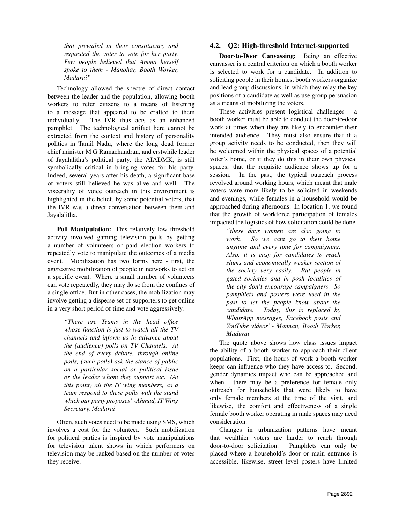*that prevailed in their constituency and requested the voter to vote for her party. Few people believed that Amma herself spoke to them - Manohar, Booth Worker, Madurai"*

Technology allowed the spectre of direct contact between the leader and the population, allowing booth workers to refer citizens to a means of listening to a message that appeared to be crafted to them individually. The IVR thus acts as an enhanced pamphlet. The technological artifact here cannot be extracted from the context and history of personality politics in Tamil Nadu, where the long dead former chief minister M G Ramachandran, and erstwhile leader of Jayalalitha's political party, the AIADMK, is still symbolically critical in bringing votes for his party. Indeed, several years after his death, a significant base of voters still believed he was alive and well. The viscerality of voice outreach in this environment is highlighted in the belief, by some potential voters, that the IVR was a direct conversation between them and Jayalalitha.

Poll Manipulation: This relatively low threshold activity involved gaming television polls by getting a number of volunteers or paid election workers to repeatedly vote to manipulate the outcomes of a media event. Mobilization has two forms here - first, the aggressive mobilization of people in networks to act on a specific event. Where a small number of volunteers can vote repeatedly, they may do so from the confines of a single office. But in other cases, the mobilization may involve getting a disperse set of supporters to get online in a very short period of time and vote aggressively.

> *"There are Teams in the head office whose function is just to watch all the TV channels and inform us in advance about the (audience) polls on TV Channels. At the end of every debate, through online polls, (such polls) ask the stance of public on a particular social or political issue or the leader whom they support etc. (At this point) all the IT wing members, as a team respond to these polls with the stand which our party proposes"-Ahmad, IT Wing Secretary, Madurai*

Often, such votes need to be made using SMS, which involves a cost for the volunteer. Such mobilization for political parties is inspired by vote manipulations for television talent shows in which performers on television may be ranked based on the number of votes they receive.

# 4.2. Q2: High-threshold Internet-supported

Door-to-Door Canvassing: Being an effective canvasser is a central criterion on which a booth worker is selected to work for a candidate. In addition to soliciting people in their homes, booth workers organize and lead group discussions, in which they relay the key positions of a candidate as well as use group persuasion as a means of mobilizing the voters.

These activities present logistical challenges - a booth worker must be able to conduct the door-to-door work at times when they are likely to encounter their intended audience. They must also ensure that if a group activity needs to be conducted, then they will be welcomed within the physical spaces of a potential voter's home, or if they do this in their own physical spaces, that the requisite audience shows up for a session. In the past, the typical outreach process revolved around working hours, which meant that male voters were more likely to be solicited in weekends and evenings, while females in a household would be approached during afternoons. In location 1, we found that the growth of workforce participation of females impacted the logistics of how solicitation could be done.

> *"these days women are also going to work. So we cant go to their home anytime and every time for campaigning. Also, it is easy for candidates to reach slums and economically weaker section of the society very easily. But people in gated societies and in posh localities of the city don't encourage campaigners. So pamphlets and posters were used in the past to let the people know about the candidate. Today, this is replaced by WhatsApp messages, Facebook posts and YouTube videos"- Mannan, Booth Worker, Madurai*

The quote above shows how class issues impact the ability of a booth worker to approach their client populations. First, the hours of work a booth worker keeps can influence who they have access to. Second, gender dynamics impact who can be approached and when - there may be a preference for female only outreach for households that were likely to have only female members at the time of the visit, and likewise, the comfort and effectiveness of a single female booth worker operating in male spaces may need consideration.

Changes in urbanization patterns have meant that wealthier voters are harder to reach through door-to-door solicitation. Pamphlets can only be placed where a household's door or main entrance is accessible, likewise, street level posters have limited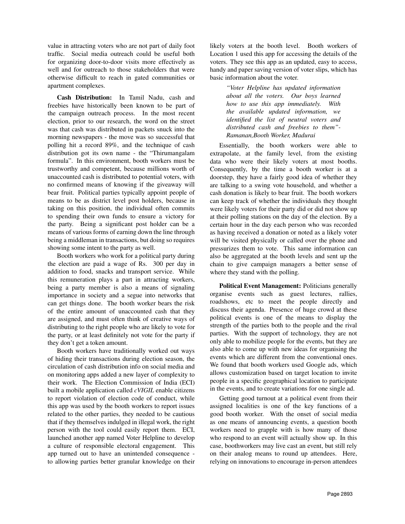value in attracting voters who are not part of daily foot traffic. Social media outreach could be useful both for organizing door-to-door visits more effectively as well and for outreach to those stakeholders that were otherwise difficult to reach in gated communities or apartment complexes.

Cash Distribution: In Tamil Nadu, cash and freebies have historically been known to be part of the campaign outreach process. In the most recent election, prior to our research, the word on the street was that cash was distributed in packets snuck into the morning newspapers - the move was so successful that polling hit a record 89%, and the technique of cash distribution got its own name - the "Thirumangalam formula". In this environment, booth workers must be trustworthy and competent, because millions worth of unaccounted cash is distributed to potential voters, with no confirmed means of knowing if the giveaway will bear fruit. Political parties typically appoint people of means to be as district level post holders, because in taking on this position, the individual often commits to spending their own funds to ensure a victory for the party. Being a significant post holder can be a means of various forms of earning down the line through being a middleman in transactions, but doing so requires showing some intent to the party as well.

Booth workers who work for a political party during the election are paid a wage of Rs. 300 per day in addition to food, snacks and transport service. While this remuneration plays a part in attracting workers, being a party member is also a means of signaling importance in society and a segue into networks that can get things done. The booth worker bears the risk of the entire amount of unaccounted cash that they are assigned, and must often think of creative ways of distributing to the right people who are likely to vote for the party, or at least definitely not vote for the party if they don't get a token amount.

Booth workers have traditionally worked out ways of hiding their transactions during election season, the circulation of cash distribution info on social media and on monitoring apps added a new layer of complexity to their work. The Election Commission of India (ECI) built a mobile application called *cVIGIL* enable citizens to report violation of election code of conduct, while this app was used by the booth workers to report issues related to the other parties, they needed to be cautious that if they themselves indulged in illegal work, the right person with the tool could easily report them. ECI, launched another app named Voter Helpline to develop a culture of responsible electoral engagement. This app turned out to have an unintended consequence to allowing parties better granular knowledge on their

likely voters at the booth level. Booth workers of Location 1 used this app for accessing the details of the voters. They see this app as an updated, easy to access, handy and paper saving version of voter slips, which has basic information about the voter.

> *"Voter Helpline has updated information about all the voters. Our boys learned how to use this app immediately. With the available updated information, we identified the list of neutral voters and distributed cash and freebies to them"- Ramanan,Booth Worker, Madurai*

Essentially, the booth workers were able to extrapolate, at the family level, from the existing data who were their likely voters at most booths. Consequently, by the time a booth worker is at a doorstep, they have a fairly good idea of whether they are talking to a swing vote household, and whether a cash donation is likely to bear fruit. The booth workers can keep track of whether the individuals they thought were likely voters for their party did or did not show up at their polling stations on the day of the election. By a certain hour in the day each person who was recorded as having received a donation or noted as a likely voter will be visited physically or called over the phone and pressurizes them to vote. This same information can also be aggregated at the booth levels and sent up the chain to give campaign managers a better sense of where they stand with the polling.

Political Event Management: Politicians generally organise events such as guest lectures, rallies, roadshows, etc to meet the people directly and discuss their agenda. Presence of huge crowd at these political events is one of the means to display the strength of the parties both to the people and the rival parties. With the support of technology, they are not only able to mobilize people for the events, but they are also able to come up with new ideas for organising the events which are different from the conventional ones. We found that booth workers used Google ads, which allows customization based on target location to invite people in a specific geographical location to participate in the events, and to create variations for one single ad.

Getting good turnout at a political event from their assigned localities is one of the key functions of a good booth worker. With the onset of social media as one means of announcing events, a question booth workers need to grapple with is how many of those who respond to an event will actually show up. In this case, boothworkers may live cast an event, but still rely on their analog means to round up attendees. Here, relying on innovations to encourage in-person attendees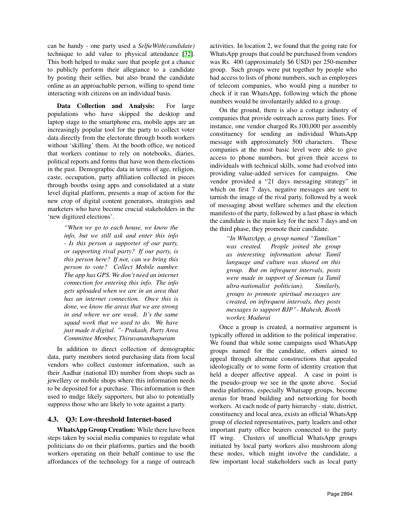can be handy - one party used a *SelfieWith(candidate)* technique to add value to physical attendance [\[32\]](#page-9-31). This both helped to make sure that people got a chance to publicly perform their allegiance to a candidate by posting their selfies, but also brand the candidate online as an approachable person, willing to spend time interacting with citizens on an individual basis.

Data Collection and Analysis: For large populations who have skipped the desktop and laptop stage to the smartphone era, mobile apps are an increasingly popular tool for the party to collect voter data directly from the electorate through booth workers without 'skilling' them. At the booth office, we noticed that workers continue to rely on notebooks, diaries, political reports and forms that have won them elections in the past. Demographic data in terms of age, religion, caste, occupation, party affiliation collected in pieces through booths using apps and consolidated at a state level digital platform, presents a map of action for the new crop of digital content generators, strategists and marketers who have become crucial stakeholders in the 'new digitized elections'.

> *"When we go to each house, we know the info, but we still ask and enter this info - Is this person a supporter of our party, or supporting rival party? If our party, is this person here? If not, can we bring this person to vote? Collect Mobile number. The app has GPS. We don't need an internet connection for entering this info. The info gets uploaded when we are in an area that has an internet connection. Once this is done, we know the areas that we are strong in and where we are weak. It's the same squad work that we used to do. We have just made it digital. "- Prakash, Party Area Committee Member, Thiruvananthapuram*

In addition to direct collection of demographic data, party members noted purchasing data from local vendors who collect customer information, such as their Aadhar (national ID) number from shops such as jewellery or mobile shops where this information needs to be deposited for a purchase. This information is then used to nudge likely supporters, but also to potentially suppress those who are likely to vote against a party.

#### 4.3. Q3: Low-threshold Internet-based

WhatsApp Group Creation: While there have been steps taken by social media companies to regulate what politicians do on their platforms, parties and the booth workers operating on their behalf continue to use the affordances of the technology for a range of outreach

activities. In location 2, we found that the going rate for WhatsApp groups that could be purchased from vendors was Rs. 400 (approximately \$6 USD) per 250-member group. Such groups were put together by people who had access to lists of phone numbers, such as employees of telecom companies, who would ping a number to check if it ran WhatsApp, following which the phone numbers would be involuntarily added to a group.

On the ground, there is also a cottage industry of companies that provide outreach across party lines. For instance, one vendor charged Rs.100,000 per assembly constituency for sending an individual WhatsApp message with approximately 500 characters. These companies at the most basic level were able to give access to phone numbers, but given their access to individuals with technical skills, some had evolved into providing value-added services for campaigns. One vendor provided a "21 days messaging strategy" in which on first 7 days, negative messages are sent to tarnish the image of the rival party, followed by a week of messaging about welfare schemes and the election manifesto of the party, followed by a last phase in which the candidate is the main key for the next 7 days and on the third phase, they promote their candidate.

> *"In WhatsApp, a group named "Tamilian" was created. People joined the group as interesting information about Tamil language and culture was shared on this group. But on infrequent intervals, posts were made in support of Seeman (a Tamil ultra-nationalist politician). Similarly, groups to promote spiritual messages are created, on infrequent intervals, they posts messages to support BJP"- Mahesh, Booth worker, Madurai*

Once a group is created, a normative argument is typically offered in addition to the political imperative. We found that while some campaigns used WhatsApp groups named for the candidate, others aimed to appeal through alternate constructions that appealed ideologically or to some form of identity creation that held a deeper affective appeal. A case in point is the pseudo-group we see in the quote above. Social media platforms, especially Whatsapp groups, become arenas for brand building and networking for booth workers. At each node of party hierarchy - state, district, constituency and local area, exists an official WhatsApp group of elected representatives, party leaders and other important party office bearers connected to the party IT wing. Clusters of unofficial WhatsApp groups initiated by local party workers also mushroom along these nodes, which might involve the candidate, a few important local stakeholders such as local party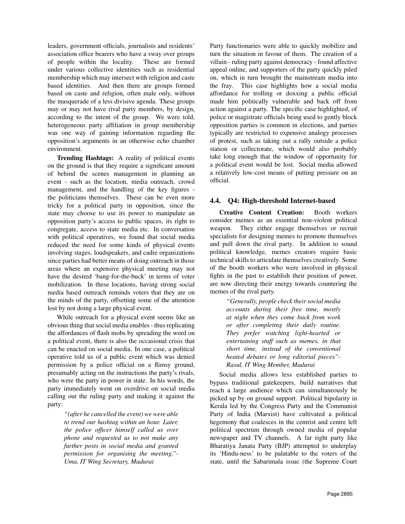leaders, government officials, journalists and residents' association office bearers who have a sway over groups of people within the locality. These are formed under various collective identities such as residential membership which may intersect with religion and caste based identities. And then there are groups formed based on caste and religion, often male only, without the masquerade of a less divisive agenda. These groups may or may not have rival party members, by design, according to the intent of the group. We were told, heterogeneous party affiliation in group membership was one way of gaining information regarding the opposition's arguments in an otherwise echo chamber environment.

Trending Hashtags: A reality of political events on the ground is that they require a significant amount of behind the scenes management in planning an event - such as the location, media outreach, crowd management, and the handling of the key figures the politicians themselves. These can be even more tricky for a political party in opposition, since the state may choose to use its power to manipulate an opposition party's access to public spaces, its right to congregate, access to state media etc. In conversation with political operatives, we found that social media reduced the need for some kinds of physical events involving stages, loudspeakers, and cadre organizations since parties had better means of doing outreach in those areas where an expensive physical meeting may not have the desired 'bang-for-the-buck' in terms of voter mobilization. In these locations, having strong social media based outreach reminds voters that they are on the minds of the party, offsetting some of the attention lost by not doing a large physical event.

While outreach for a physical event seems like an obvious thing that social media enables - thus replicating the affordances of flash mobs by spreading the word on a political event, there is also the occasional crisis that can be enacted on social media. In one case, a political operative told us of a public event which was denied permission by a police official on a flimsy ground, presumably acting on the instructions the party's rivals, who were the party in power in state. In his words, the party immediately went on overdrive on social media calling out the ruling party and making it against the party:

> *"(after he cancelled the event) we were able to trend our hashtag within an hour. Later, the police officer himself called us over phone and requested us to not make any further posts in social media and granted permission for organising the meeting."- Uma, IT Wing Secretary, Madurai*

Party functionaries were able to quickly mobilize and turn the situation in favour of them. The creation of a villain - ruling party against democracy - found affective appeal online, and supporters of the party quickly piled on, which in turn brought the mainstream media into the fray. This case highlights how a social media affordance for trolling or doxxing a public official made him politically vulnerable and back off from action against a party. The specific case highlighted, of police or magistrate officials being used to gently block opposition parties is common in elections, and parties typically are restricted to expensive analogy processes of protest, such as taking out a rally outside a police station or collectorate, which would also probably take long enough that the window of opportunity for a political event would be lost. Social media allowed a relatively low-cost means of putting pressure on an official.

# 4.4. Q4: High-threshold Internet-based

Creative Content Creation: Booth workers consider memes as an essential non-violent political weapon. They either engage themselves or recruit specialists for designing memes to promote themselves and pull down the rival party. In addition to sound political knowledge, memes creators require basic technical skills to articulate themselves creatively. Some of the booth workers who were involved in physical fights in the past to establish their position of power, are now directing their energy towards countering the memes of the rival party.

> *"Generally, people check their social media accounts during their free time, mostly at night when they come back from work or after completing their daily routine. They prefer watching light-hearted or entertaining stuff such as memes, in that short time, instead of the conventional heated debates or long editorial pieces"- Rasul, IT Wing Member, Madurai*

Social media allows less established parties to bypass traditional gatekeepers, build narratives that reach a large audience which can simultaneously be picked up by on ground support. Political bipolarity in Kerala led by the Congress Party and the Communist Party of India (Marxist) have cultivated a political hegemony that coalesces in the centrist and centre left political spectrum through owned media of popular newspaper and TV channels. A far right party like Bharatiya Janata Party (BJP) attempted to underplay its 'Hindu-ness' to be palatable to the voters of the state, until the Sabarimala issue (the Supreme Court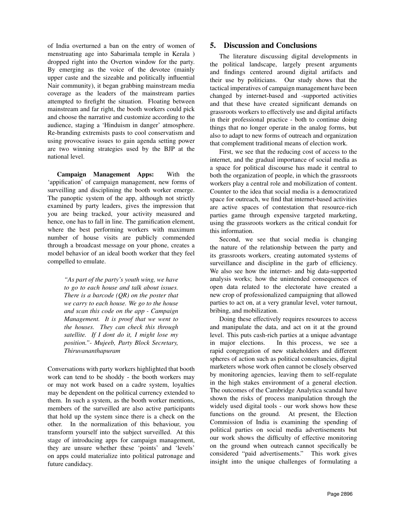of India overturned a ban on the entry of women of menstruating age into Sabarimala temple in Kerala ) dropped right into the Overton window for the party. By emerging as the voice of the devotee (mainly upper caste and the sizeable and politically influential Nair community), it began grabbing mainstream media coverage as the leaders of the mainstream parties attempted to firefight the situation. Floating between mainstream and far right, the booth workers could pick and choose the narrative and customize according to the audience, staging a 'Hinduism in danger' atmosphere. Re-branding extremists pasts to cool conservatism and using provocative issues to gain agenda setting power are two winning strategies used by the BJP at the national level.

Campaign Management Apps: With the 'appification' of campaign management, new forms of surveilling and disciplining the booth worker emerge. The panoptic system of the app, although not strictly examined by party leaders, gives the impression that you are being tracked, your activity measured and hence, one has to fall in line. The gamification element, where the best performing workers with maximum number of house visits are publicly commended through a broadcast message on your phone, creates a model behavior of an ideal booth worker that they feel compelled to emulate.

> *"As part of the party's youth wing, we have to go to each house and talk about issues. There is a barcode (QR) on the poster that we carry to each house. We go to the house and scan this code on the app - Campaign Management. It is proof that we went to the houses. They can check this through satellite. If I dont do it, I might lose my position."- Mujeeb, Party Block Secretary, Thiruvananthapuram*

Conversations with party workers highlighted that booth work can tend to be shoddy - the booth workers may or may not work based on a cadre system, loyalties may be dependent on the political currency extended to them. In such a system, as the booth worker mentions, members of the surveilled are also active participants that hold up the system since there is a check on the other. In the normalization of this behaviour, you transform yourself into the subject surveilled. At this stage of introducing apps for campaign management, they are unsure whether these 'points' and 'levels' on apps could materialize into political patronage and future candidacy.

### 5. Discussion and Conclusions

The literature discussing digital developments in the political landscape, largely present arguments and findings centered around digital artifacts and their use by politicians. Our study shows that the tactical imperatives of campaign management have been changed by internet-based and -supported activities and that these have created significant demands on grassroots workers to effectively use and digital artifacts in their professional practice - both to continue doing things that no longer operate in the analog forms, but also to adapt to new forms of outreach and organization that complement traditional means of election work.

First, we see that the reducing cost of access to the internet, and the gradual importance of social media as a space for political discourse has made it central to both the organization of people, in which the grassroots workers play a central role and mobilization of content. Counter to the idea that social media is a democratized space for outreach, we find that internet-based activities are active spaces of contestation that resource-rich parties game through expensive targeted marketing, using the grassroots workers as the critical conduit for this information.

Second, we see that social media is changing the nature of the relationship between the party and its grassroots workers, creating automated systems of surveillance and discipline in the garb of efficiency. We also see how the internet- and big data-supported analysis works; how the unintended consequences of open data related to the electorate have created a new crop of professionalized campaigning that allowed parties to act on, at a very granular level, voter turnout, bribing, and mobilization.

Doing these effectively requires resources to access and manipulate the data, and act on it at the ground level. This puts cash-rich parties at a unique advantage in major elections. In this process, we see a rapid congregation of new stakeholders and different spheres of action such as political consultancies, digital marketers whose work often cannot be closely observed by monitoring agencies, leaving them to self-regulate in the high stakes environment of a general election. The outcomes of the Cambridge Analytica scandal have shown the risks of process manipulation through the widely used digital tools - our work shows how these functions on the ground. At present, the Election Commission of India is examining the spending of political parties on social media advertisements but our work shows the difficulty of effective monitoring on the ground when outreach cannot specifically be considered "paid advertisements." This work gives insight into the unique challenges of formulating a